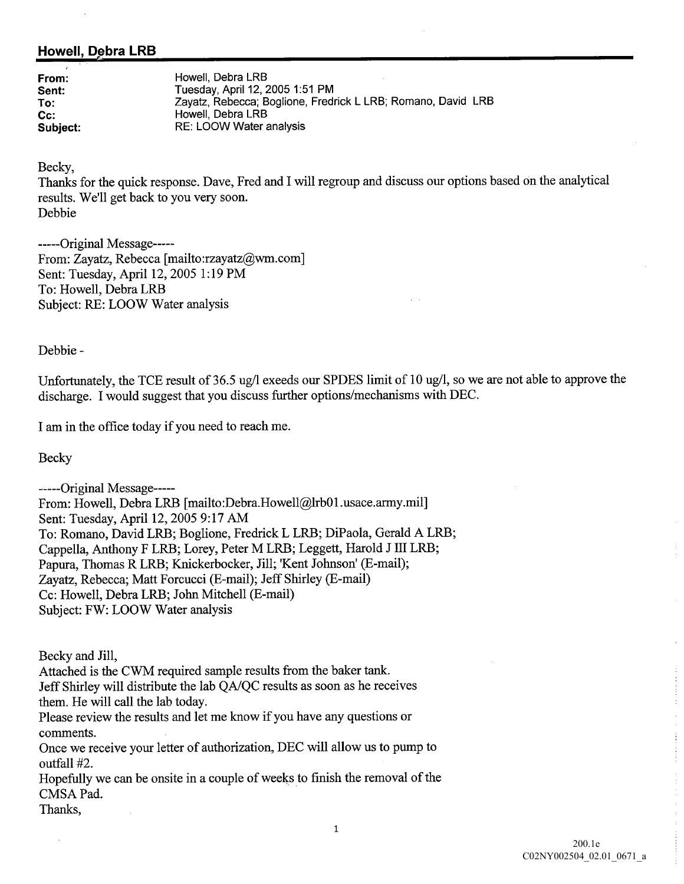## Howell, Debra LRB

From: Howell, Debra LRB Sent: Tuesday, April 12, 2005 1:51 PM To: The Zayatz, Rebecca; Boglione, Fredrick LLRB; Romano, David LRB Cc: Howell, Debra LRB Subject: RE: LOOW Water analysis

Becky

Thanks for the quick response. Dave, Fred and I will regroup and discuss our options based on the analytical results. We'll get back to you very soon. Debbie

-----Original Message-----From: Zayatz, Rebecca [mailto:rzayatz@wm.com] Sent: Tuesday, April 12, 2005 1:19 PM To: Howell, Debra LRB Subject: RE: LOOW Water analysis

Debbie

Unfortunately, the TCE result of 36.5 ug/l exeeds our SPDES limit of 10 ug/l, so we are not able to approve the discharge. I would suggest that you discuss further options/mechanisms with DEC.

I am in the office today if you need to reach me.

Becky

-----Original Message-----From: Howell, Debra LRB [mailto:Debra.Howell@lrb01.usace.army.mil] Sent: Tuesday, April 12, 2005 9:17 AM To: Romano, David LRB; Boglione, Fredrick L LRB; DiPaola, Gerald A LRB; Cappella, Anthony F LRB; Lorey, Peter M LRB; Leggett, Harold J III LRB; Papura, Thomas R LRB; Knickerbocker, Jill; 'Kent Johnson' (E-mail); Zayatz, Rebecca; Matt Forcucci (E-mail); Jeff Shirley (E-mail) Cc: Howell, Debra LRB; John Mitchell (E-mail) Subject: FW: LOOW Water analysis

Becky and Jill

Attached is the CWM required sample results from the baker tank

Jeff Shirley will distribute the lab QA/QC results as soon as he receives them. He will call the lab today.

Please review the results and let me know if you have any questions or comments

Once we receive your letter of authorization, DEC will allow us to pump to outfall #2.

Hopefully we can be onsite in a couple of weeks to finish the removal of the CMSA Pad

Thanks